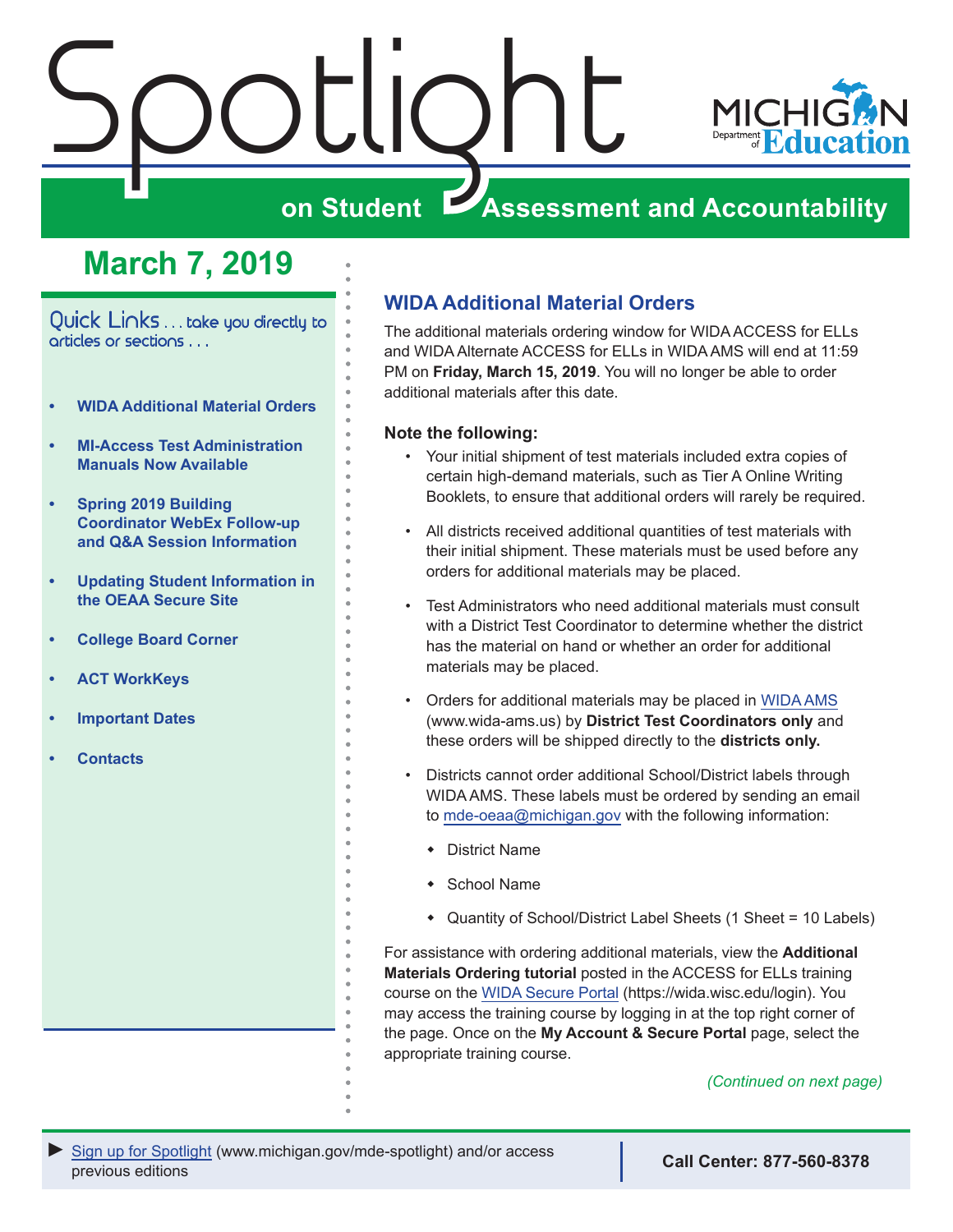

# **March 7, 2019**

<span id="page-0-0"></span>Quick Links . . . take you directly to articles or sections . . .

- **• WIDA Additional Material Orders**
- **• [MI-Access Test Administration](#page-1-0)  [Manuals Now Available](#page-1-0)**
- **• [Spring 2019 Building](#page-1-0)  [Coordinator WebEx Follow-up](#page-1-0)  [and Q&A Session Information](#page-1-0)**
- **• [Updating Student Information in](#page-2-0)  [the OEAA Secure Site](#page-2-0)**
- **• [College Board Corner](#page-4-0)**
- **• [ACT WorkKeys](#page-5-0)**
- **• [Important Dates](#page-7-0)**
- **• [Contacts](#page-8-0)**

### **WIDA Additional Material Orders**

The additional materials ordering window for WIDA ACCESS for ELLs and WIDA Alternate ACCESS for ELLs in WIDA AMS will end at 11:59 PM on **Friday, March 15, 2019**. You will no longer be able to order additional materials after this date.

### **Note the following:**

- Your initial shipment of test materials included extra copies of certain high-demand materials, such as Tier A Online Writing Booklets, to ensure that additional orders will rarely be required.
- All districts received additional quantities of test materials with their initial shipment. These materials must be used before any orders for additional materials may be placed.
- Test Administrators who need additional materials must consult with a District Test Coordinator to determine whether the district has the material on hand or whether an order for additional materials may be placed.
- Orders for additional materials may be placed in [WIDA AMS](http://www.wida-ams.us) (www.wida-ams.us) by **District Test Coordinators only** and these orders will be shipped directly to the **districts only.**
- Districts cannot order additional School/District labels through WIDA AMS. These labels must be ordered by sending an email to [mde-oeaa@michigan.gov](mailto:mde-oeaa%40michigan.gov?subject=) with the following information:
	- $\bullet$  District Name
	- $\bullet$  School Name
	- Quantity of School/District Label Sheets (1 Sheet = 10 Labels)

For assistance with ordering additional materials, view the **Additional Materials Ordering tutorial** posted in the ACCESS for ELLs training course on the [WIDA Secure Portal](https://wida.wisc.edu/login) (https://wida.wisc.edu/login). You may access the training course by logging in at the top right corner of the page. Once on the **My Account & Secure Portal** page, select the appropriate training course.

*(Continued on next page)*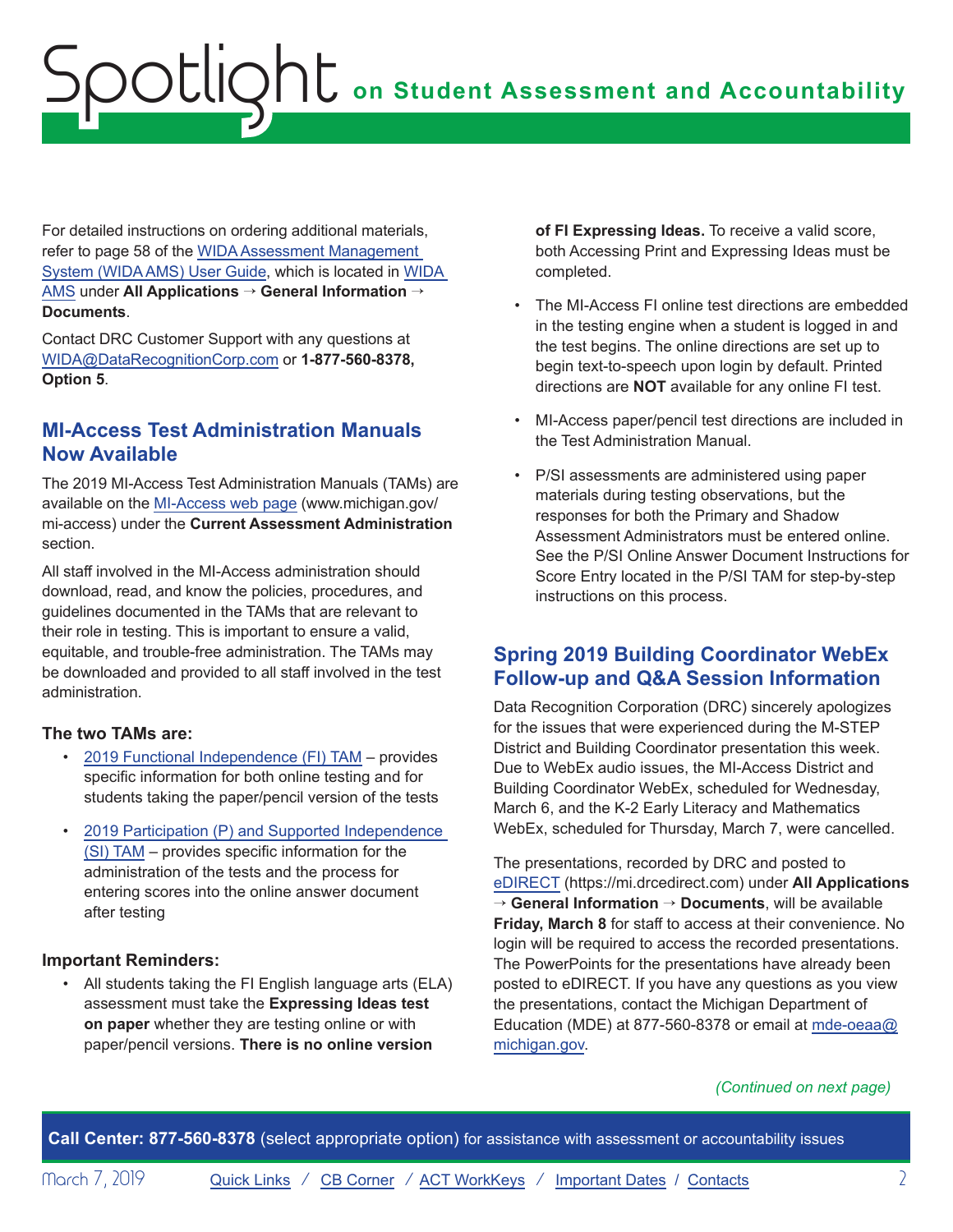<span id="page-1-0"></span>For detailed instructions on ordering additional materials, refer to page 58 of the [WIDA Assessment Management](https://www.wida-ams.us/Documents/Unsecure/Doc.aspx?id=c58135f0-1722-40db-b1db-ee7685e9ac5e)  [System \(WIDA AMS\) User Guide](https://www.wida-ams.us/Documents/Unsecure/Doc.aspx?id=c58135f0-1722-40db-b1db-ee7685e9ac5e), which is located in [WIDA](http://www.wida-ams.us)  [AMS](http://www.wida-ams.us) under **All Applications** → **General Information** → **Documents**.

Contact DRC Customer Support with any questions at [WIDA@DataRecognitionCorp.com](mailto:WIDA%40DataRecognitionCorp.com?subject=) or **1-877-560-8378, Option 5**.

## **MI-Access Test Administration Manuals Now Available**

The 2019 MI-Access Test Administration Manuals (TAMs) are available on the [MI-Access web page](http://www.michigan.gov/mi-access) (www.michigan.gov/ mi-access) under the **Current Assessment Administration**  section.

All staff involved in the MI-Access administration should download, read, and know the policies, procedures, and guidelines documented in the TAMs that are relevant to their role in testing. This is important to ensure a valid, equitable, and trouble-free administration. The TAMs may be downloaded and provided to all staff involved in the test administration.

### **The two TAMs are:**

- [2019 Functional Independence \(FI\) TAM](https://www.michigan.gov/documents/mde/MI-ACCESS_Functional_Independence_TAM_635412_7.pdf)  provides specific information for both online testing and for students taking the paper/pencil version of the tests
- [2019 Participation \(P\) and Supported Independence](https://www.michigan.gov/documents/mde/Participation_and_Supported_Independence_TAM_635414_7.pdf)  [\(SI\) TAM](https://www.michigan.gov/documents/mde/Participation_and_Supported_Independence_TAM_635414_7.pdf) – provides specific information for the administration of the tests and the process for entering scores into the online answer document after testing

### **Important Reminders:**

• All students taking the FI English language arts (ELA) assessment must take the **Expressing Ideas test on paper** whether they are testing online or with paper/pencil versions. **There is no online version** 

**of FI Expressing Ideas.** To receive a valid score, both Accessing Print and Expressing Ideas must be completed.

- The MI-Access FI online test directions are embedded in the testing engine when a student is logged in and the test begins. The online directions are set up to begin text-to-speech upon login by default. Printed directions are **NOT** available for any online FI test.
- MI-Access paper/pencil test directions are included in the Test Administration Manual.
- P/SI assessments are administered using paper materials during testing observations, but the responses for both the Primary and Shadow Assessment Administrators must be entered online. See the P/SI Online Answer Document Instructions for Score Entry located in the P/SI TAM for step-by-step instructions on this process.

### **Spring 2019 Building Coordinator WebEx Follow-up and Q&A Session Information**

Data Recognition Corporation (DRC) sincerely apologizes for the issues that were experienced during the M-STEP District and Building Coordinator presentation this week. Due to WebEx audio issues, the MI-Access District and Building Coordinator WebEx, scheduled for Wednesday, March 6, and the K-2 Early Literacy and Mathematics WebEx, scheduled for Thursday, March 7, were cancelled.

The presentations, recorded by DRC and posted to [eDIRECT](https://mi.drcedirect.com) (https://mi.drcedirect.com) under **All Applications**  → **General Information** → **Documents**, will be available **Friday, March 8** for staff to access at their convenience. No login will be required to access the recorded presentations. The PowerPoints for the presentations have already been posted to eDIRECT. If you have any questions as you view the presentations, contact the Michigan Department of Education (MDE) at 877-560-8378 or email at [mde-oeaa@](mailto:mde-oeaa%40michigan.gov?subject=) [michigan.gov](mailto:mde-oeaa%40michigan.gov?subject=).

### *(Continued on next page)*

**Call Center: 877-560-8378** (select appropriate option) for assistance with assessment or accountability issues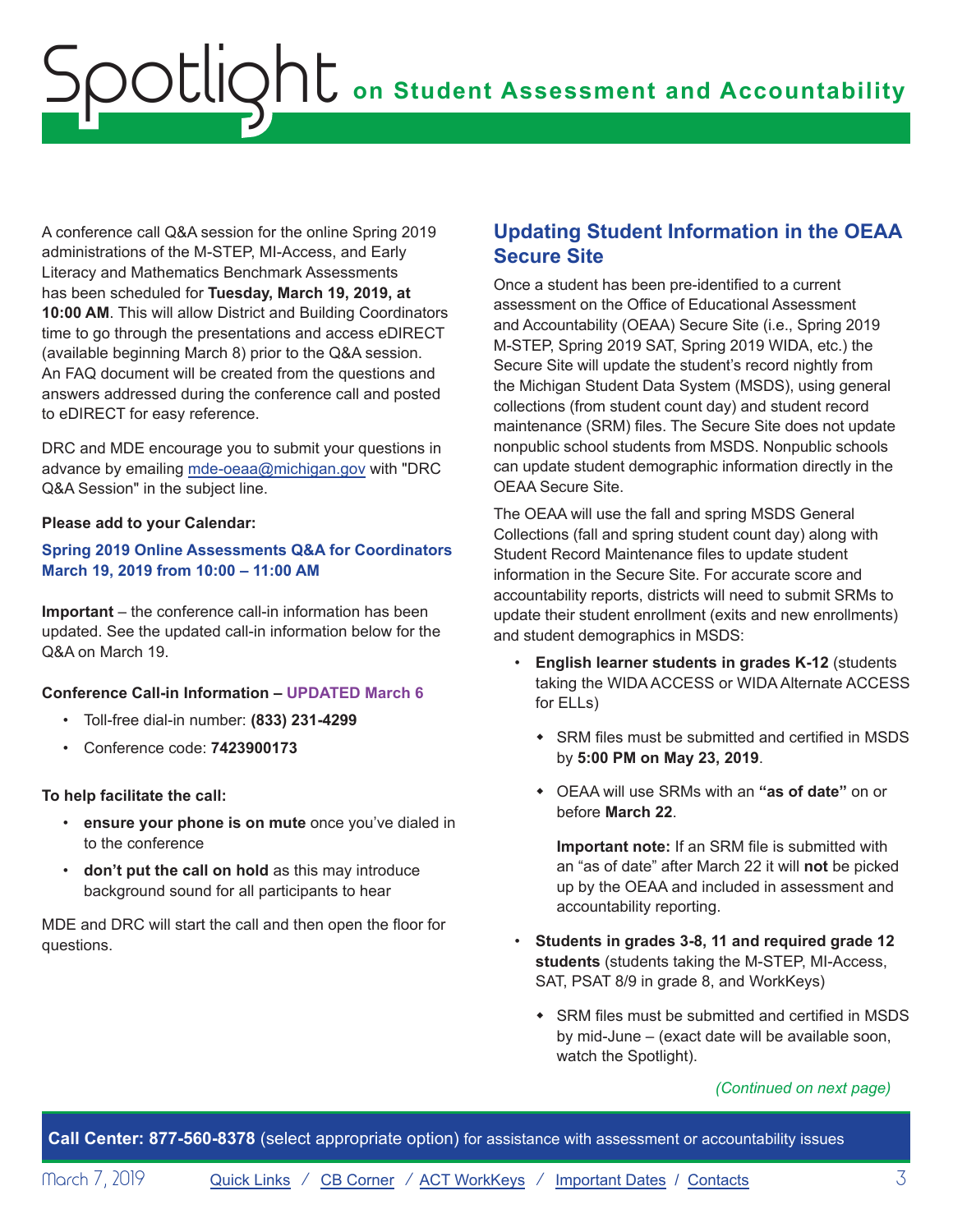<span id="page-2-0"></span>A conference call Q&A session for the online Spring 2019 administrations of the M-STEP, MI-Access, and Early Literacy and Mathematics Benchmark Assessments has been scheduled for **Tuesday, March 19, 2019, at 10:00 AM**. This will allow District and Building Coordinators time to go through the presentations and access eDIRECT (available beginning March 8) prior to the Q&A session. An FAQ document will be created from the questions and answers addressed during the conference call and posted to eDIRECT for easy reference.

DRC and MDE encourage you to submit your questions in advance by emailing [mde-oeaa@michigan.gov](mailto:mde-oeaa%40michigan.gov?subject=DRC%20Q%26A%20Session) with "DRC Q&A Session" in the subject line.

### **Please add to your Calendar:**

**Spring 2019 Online Assessments Q&A for Coordinators March 19, 2019 from 10:00 – 11:00 AM**

**Important** – the conference call-in information has been updated. See the updated call-in information below for the Q&A on March 19.

### **Conference Call-in Information – UPDATED March 6**

- Toll-free dial-in number: **(833) 231-4299**
- Conference code: **7423900173**

### **To help facilitate the call:**

- **ensure your phone is on mute** once you've dialed in to the conference
- **don't put the call on hold** as this may introduce background sound for all participants to hear

MDE and DRC will start the call and then open the floor for questions.

### **Updating Student Information in the OEAA Secure Site**

Once a student has been pre-identified to a current assessment on the Office of Educational Assessment and Accountability (OEAA) Secure Site (i.e., Spring 2019 M-STEP, Spring 2019 SAT, Spring 2019 WIDA, etc.) the Secure Site will update the student's record nightly from the Michigan Student Data System (MSDS), using general collections (from student count day) and student record maintenance (SRM) files. The Secure Site does not update nonpublic school students from MSDS. Nonpublic schools can update student demographic information directly in the OEAA Secure Site.

The OEAA will use the fall and spring MSDS General Collections (fall and spring student count day) along with Student Record Maintenance files to update student information in the Secure Site. For accurate score and accountability reports, districts will need to submit SRMs to update their student enrollment (exits and new enrollments) and student demographics in MSDS:

- **English learner students in grades K-12** (students taking the WIDA ACCESS or WIDA Alternate ACCESS for ELLs)
	- SRM files must be submitted and certified in MSDS by **5:00 PM on May 23, 2019**.
	- ◆ OEAA will use SRMs with an "as of date" on or before **March 22**.

**Important note:** If an SRM file is submitted with an "as of date" after March 22 it will **not** be picked up by the OEAA and included in assessment and accountability reporting.

- **Students in grades 3-8, 11 and required grade 12 students** (students taking the M-STEP, MI-Access, SAT, PSAT 8/9 in grade 8, and WorkKeys)
	- $\bullet$  SRM files must be submitted and certified in MSDS by mid-June – (exact date will be available soon, watch the Spotlight).

### *(Continued on next page)*

**Call Center: 877-560-8378** (select appropriate option) for assistance with assessment or accountability issues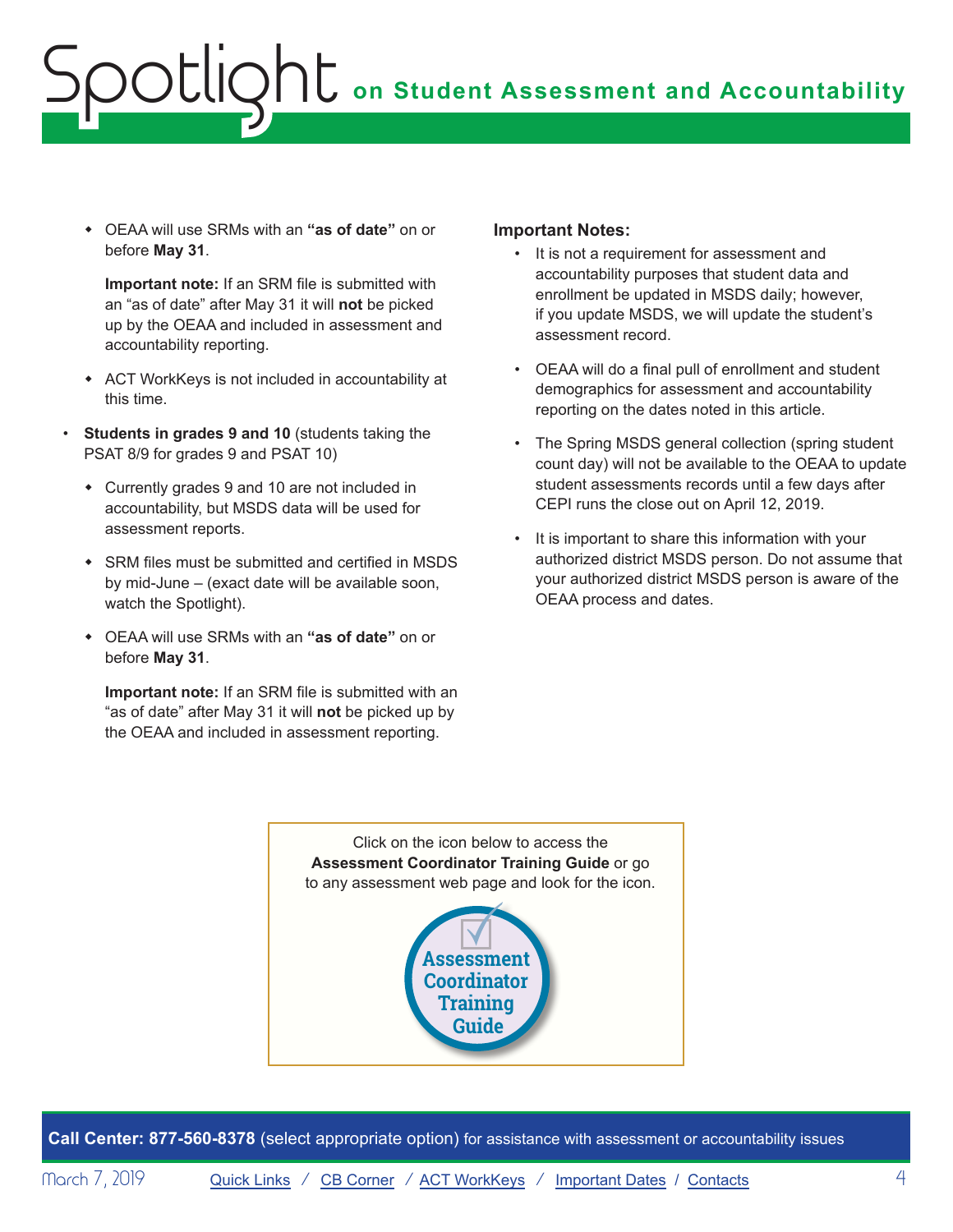**• OEAA will use SRMs with an "as of date"** on or before **May 31**.

**Important note:** If an SRM file is submitted with an "as of date" after May 31 it will **not** be picked up by the OEAA and included in assessment and accountability reporting.

- \* ACT WorkKeys is not included in accountability at this time.
- **Students in grades 9 and 10** (students taking the PSAT 8/9 for grades 9 and PSAT 10)
	- Currently grades 9 and 10 are not included in accountability, but MSDS data will be used for assessment reports.
	- $\cdot$  SRM files must be submitted and certified in MSDS by mid-June – (exact date will be available soon, watch the Spotlight).
	- ◆ OEAA will use SRMs with an "as of date" on or before **May 31**.

**Important note:** If an SRM file is submitted with an "as of date" after May 31 it will **not** be picked up by the OEAA and included in assessment reporting.

### **Important Notes:**

- It is not a requirement for assessment and accountability purposes that student data and enrollment be updated in MSDS daily; however, if you update MSDS, we will update the student's assessment record.
- OEAA will do a final pull of enrollment and student demographics for assessment and accountability reporting on the dates noted in this article.
- The Spring MSDS general collection (spring student count day) will not be available to the OEAA to update student assessments records until a few days after CEPI runs the close out on April 12, 2019.
- It is important to share this information with your authorized district MSDS person. Do not assume that your authorized district MSDS person is aware of the OEAA process and dates.

Click on the icon below to access the **Assessment Coordinator Training Guide** or go to any assessment web page and look for the icon.



**Call Center: 877-560-8378** (select appropriate option) for assistance with assessment or accountability issues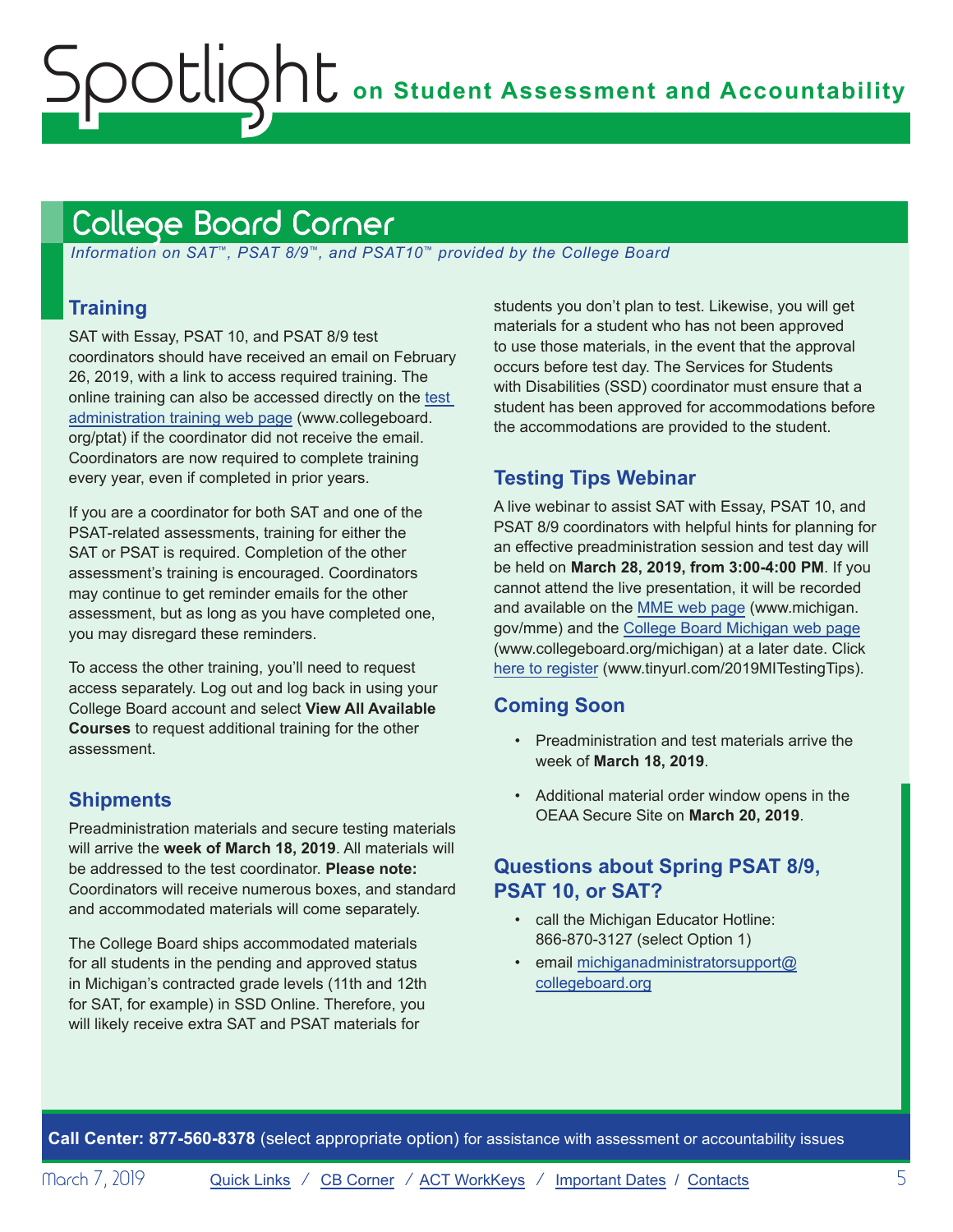# <span id="page-4-1"></span><span id="page-4-0"></span>College Board Corner

 *Information on SAT*™*, PSAT 8/9*™*, and PSAT10*™ *provided by the College Board*

# **Training**

SAT with Essay, PSAT 10, and PSAT 8/9 test coordinators should have received an email on February 26, 2019, with a link to access required training. The online training can also be accessed directly on the [test](http://www.collegeboard.org/ptat)  [administration training web page](http://www.collegeboard.org/ptat) (www.collegeboard. org/ptat) if the coordinator did not receive the email. Coordinators are now required to complete training every year, even if completed in prior years.

If you are a coordinator for both SAT and one of the PSAT-related assessments, training for either the SAT or PSAT is required. Completion of the other assessment's training is encouraged. Coordinators may continue to get reminder emails for the other assessment, but as long as you have completed one, you may disregard these reminders.

To access the other training, you'll need to request access separately. Log out and log back in using your College Board account and select **View All Available Courses** to request additional training for the other assessment.

### **Shipments**

Preadministration materials and secure testing materials will arrive the **week of March 18, 2019**. All materials will be addressed to the test coordinator. **Please note:**  Coordinators will receive numerous boxes, and standard and accommodated materials will come separately.

The College Board ships accommodated materials for all students in the pending and approved status in Michigan's contracted grade levels (11th and 12th for SAT, for example) in SSD Online. Therefore, you will likely receive extra SAT and PSAT materials for

students you don't plan to test. Likewise, you will get materials for a student who has not been approved to use those materials, in the event that the approval occurs before test day. The Services for Students with Disabilities (SSD) coordinator must ensure that a student has been approved for accommodations before the accommodations are provided to the student.

## **Testing Tips Webinar**

A live webinar to assist SAT with Essay, PSAT 10, and PSAT 8/9 coordinators with helpful hints for planning for an effective preadministration session and test day will be held on **March 28, 2019, from 3:00-4:00 PM**. If you cannot attend the live presentation, it will be recorded and available on the [MME web page](www.michigan.gov/mme) (www.michigan. gov/mme) and the [College Board Michigan web page](http://www.collegeboard.org/michigan) (www.collegeboard.org/michigan) at a later date. Click [here to register](http://www.tinyurl.com/2019MITestingTips) (www.tinyurl.com/2019MITestingTips).

## **Coming Soon**

- Preadministration and test materials arrive the week of **March 18, 2019**.
- Additional material order window opens in the OEAA Secure Site on **March 20, 2019**.

### **Questions about Spring PSAT 8/9, PSAT 10, or SAT?**

- call the Michigan Educator Hotline: 866-870-3127 (select Option 1)
- email [michiganadministratorsupport@](mailto:michiganadministratorsupport%40collegeboard.org?subject=) [collegeboard.org](mailto:michiganadministratorsupport%40collegeboard.org?subject=)

**Call Center: 877-560-8378** (select appropriate option) for assistance with assessment or accountability issues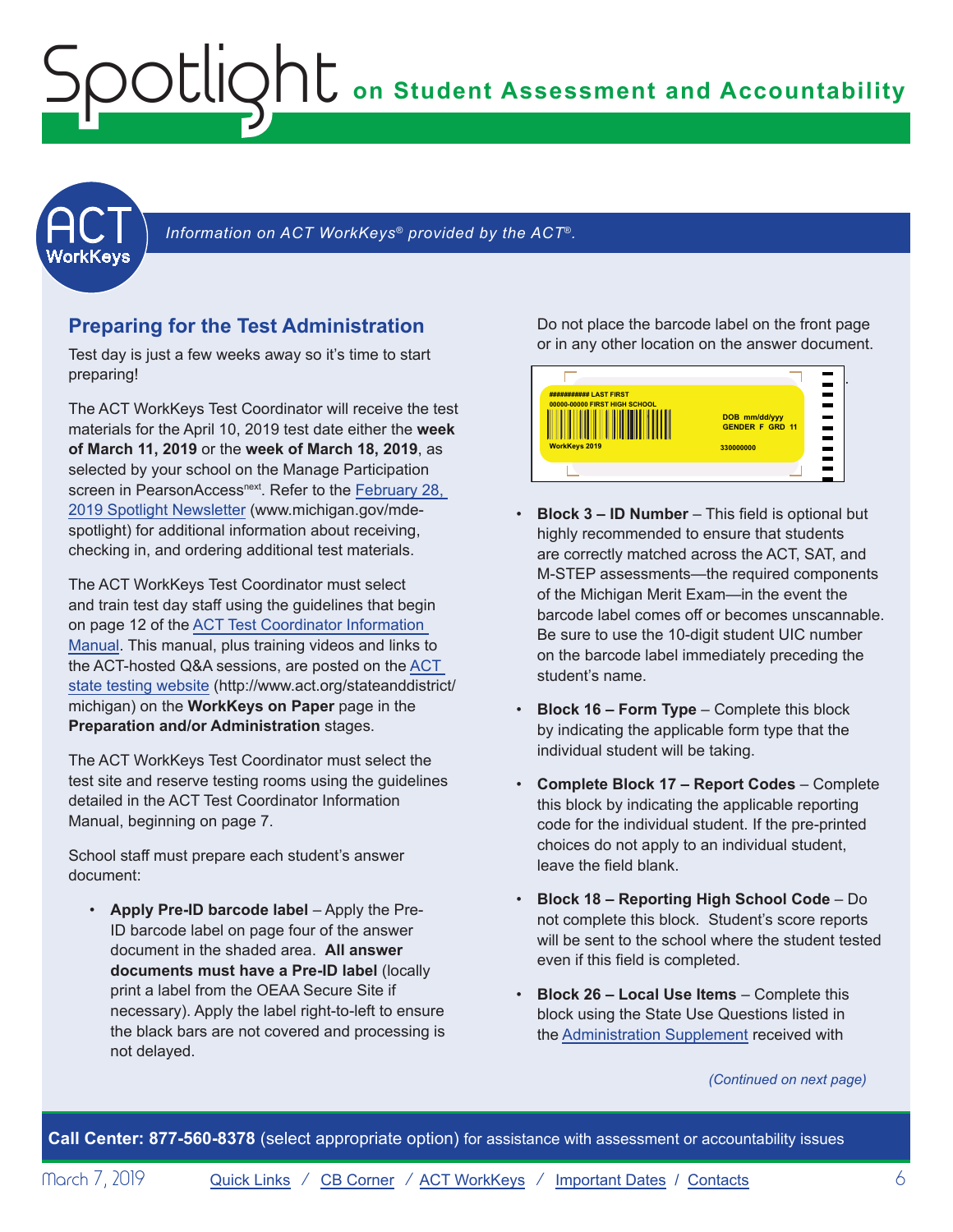<span id="page-5-1"></span><span id="page-5-0"></span>**ACT** 

Information on ACT WorkKeys<sup>®</sup> provided by the ACT<sup>®</sup>.

### **Preparing for the Test Administration**

Test day is just a few weeks away so it's time to start preparing!

The ACT WorkKeys Test Coordinator will receive the test materials for the April 10, 2019 test date either the **week of March 11, 2019** or the **week of March 18, 2019**, as selected by your school on the Manage Participation screen in PearsonAccess<sup>next</sup>. Refer to the February 28, [2019 Spotlight Newsletter](https://www.michigan.gov/documents/mde/Spotlight_2-28-19_647776_7.pdf) (www.michigan.gov/mdespotlight) for additional information about receiving, checking in, and ordering additional test materials.

The ACT WorkKeys Test Coordinator must select and train test day staff using the guidelines that begin on page 12 of the [ACT Test Coordinator Information](https://www.act.org/content/dam/act/secured/documents/pdfs/state-district-test-coordinator-paper-test.pdf)  [Manual.](https://www.act.org/content/dam/act/secured/documents/pdfs/state-district-test-coordinator-paper-test.pdf) This manual, plus training videos and links to the ACT-hosted Q&A sessions, are posted on the [ACT](http://www.act.org/stateanddistrict/michigan)  [state testing website](http://www.act.org/stateanddistrict/michigan) (http://www.act.org/stateanddistrict/ michigan) on the **WorkKeys on Paper** page in the **Preparation and/or Administration** stages.

The ACT WorkKeys Test Coordinator must select the test site and reserve testing rooms using the guidelines detailed in the ACT Test Coordinator Information Manual, beginning on page 7.

School staff must prepare each student's answer document:

• **Apply Pre-ID barcode label** – Apply the Pre-ID barcode label on page four of the answer document in the shaded area. **All answer documents must have a Pre-ID label** (locally print a label from the OEAA Secure Site if necessary). Apply the label right-to-left to ensure the black bars are not covered and processing is not delayed.

Do not place the barcode label on the front page or in any other location on the answer document.



- **Block 3 ID Number**  This field is optional but highly recommended to ensure that students are correctly matched across the ACT, SAT, and M-STEP assessments—the required components of the Michigan Merit Exam—in the event the barcode label comes off or becomes unscannable. Be sure to use the 10-digit student UIC number on the barcode label immediately preceding the student's name.
- **Block 16 Form Type** Complete this block by indicating the applicable form type that the individual student will be taking.
- **Complete Block 17 Report Codes** Complete this block by indicating the applicable reporting code for the individual student. If the pre-printed choices do not apply to an individual student, leave the field blank.
- **Block 18 Reporting High School Code** Do not complete this block. Student's score reports will be sent to the school where the student tested even if this field is completed.
- **Block 26 Local Use Items** Complete this block using the State Use Questions listed in the [Administration Supplement](http://www.act.org/content/dam/act/unsecured/documents/AdministrationSupplementWorkKeys-MI.pdf) received with

#### *(Continued on next page)*

**Call Center: 877-560-8378** (select appropriate option) for assistance with assessment or accountability issues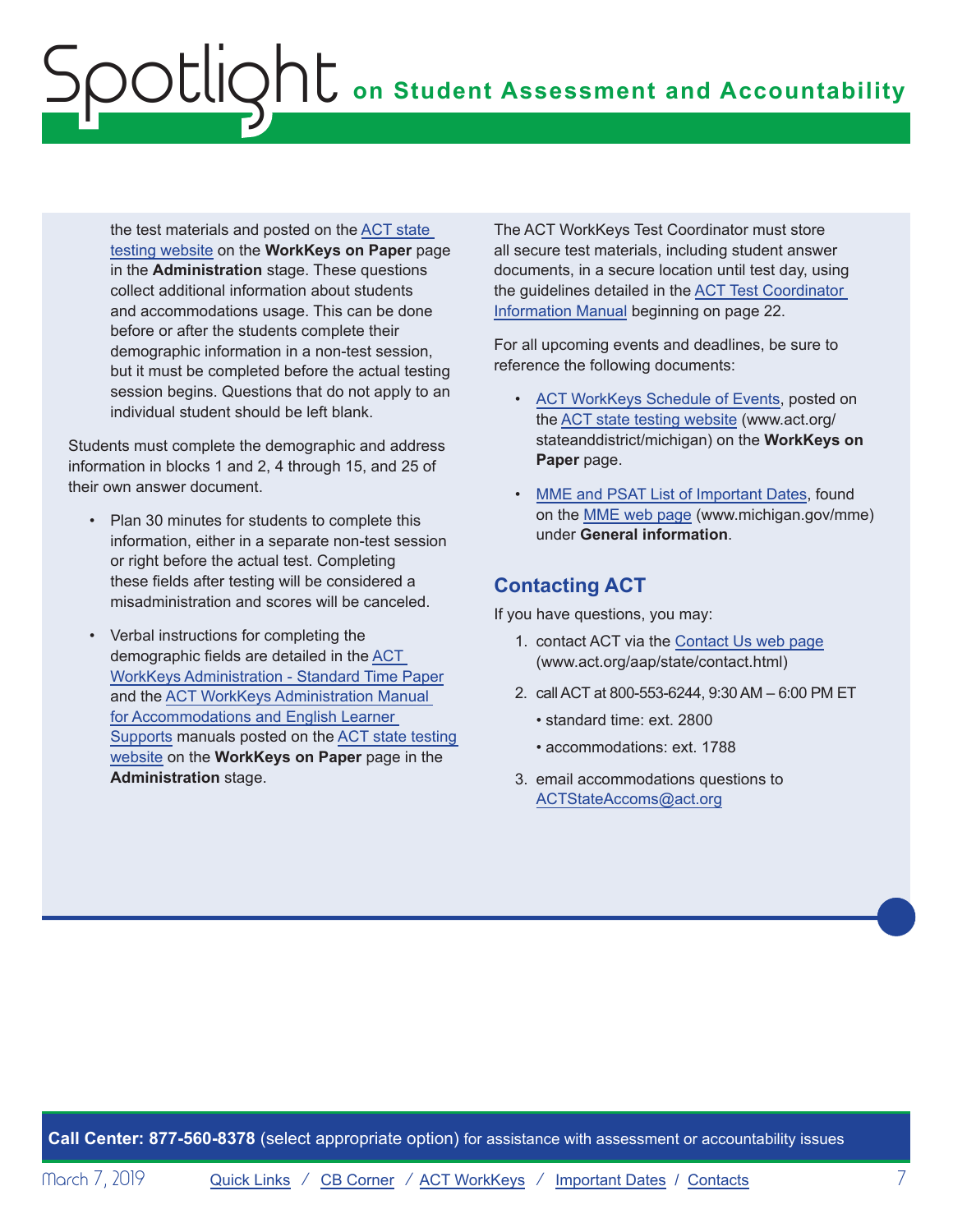the test materials and posted on the [ACT state](http://www.act.org/stateanddistrict/michigan)  [testing website](http://www.act.org/stateanddistrict/michigan) on the **WorkKeys on Paper** page in the **Administration** stage. These questions collect additional information about students and accommodations usage. This can be done before or after the students complete their demographic information in a non-test session, but it must be completed before the actual testing session begins. Questions that do not apply to an individual student should be left blank.

Students must complete the demographic and address information in blocks 1 and 2, 4 through 15, and 25 of their own answer document.

- Plan 30 minutes for students to complete this information, either in a separate non-test session or right before the actual test. Completing these fields after testing will be considered a misadministration and scores will be canceled.
- Verbal instructions for completing the demographic fields are detailed in the [ACT](http://www.act.org/content/dam/act/secured/documents/pdfs/WK-Admin-SD-Std-Time-Paper-Secured.pdf)  [WorkKeys Administration - Standard Time Paper](http://www.act.org/content/dam/act/secured/documents/pdfs/WK-Admin-SD-Std-Time-Paper-Secured.pdf) and the [ACT WorkKeys Administration Manual](http://www.act.org/content/dam/act/secured/documents/pdfs/WK-Admin-SD-Accoms-Secured.pdf)  [for Accommodations and English Learner](http://www.act.org/content/dam/act/secured/documents/pdfs/WK-Admin-SD-Accoms-Secured.pdf)  [Supports](http://www.act.org/content/dam/act/secured/documents/pdfs/WK-Admin-SD-Accoms-Secured.pdf) manuals posted on the [ACT state testing](http://www.act.org/stateanddistrict/michigan)  [website](http://www.act.org/stateanddistrict/michigan) on the **WorkKeys on Paper** page in the **Administration** stage.

The ACT WorkKeys Test Coordinator must store all secure test materials, including student answer documents, in a secure location until test day, using the guidelines detailed in the [ACT Test Coordinator](https://www.act.org/content/dam/act/secured/documents/pdfs/state-district-test-coordinator-paper-test.pdf)  [Information Manual](https://www.act.org/content/dam/act/secured/documents/pdfs/state-district-test-coordinator-paper-test.pdf) beginning on page 22.

For all upcoming events and deadlines, be sure to reference the following documents:

- [ACT WorkKeys Schedule of Events](http://www.act.org/content/dam/act/unsecured/documents/ScheduleofEventsWorkKeys-MI.pdf), posted on the [ACT state testing website](http://www.act.org/stateanddistrict/michigan) (www.act.org/ stateanddistrict/michigan) on the **WorkKeys on Paper** page.
- [MME and PSAT List of Important Dates,](https://www.michigan.gov/documents/mde/MME_List_of_Important_Dates_634790_7.pdf) found on the [MME web page](www.michigan.gov/mme) (www.michigan.gov/mme) under **General information**.

## **Contacting ACT**

If you have questions, you may:

- 1. contact ACT via the [Contact Us web page](http://www.act.org/aap/state/contact.html) ([www.act.org/aap/state/contact.html\)](www.act.org/aap/state/contact.html)
- 2. call ACT at 800-553-6244, 9:30 AM 6:00 PM ET
	- standard time: ext. 2800
	- accommodations: ext. 1788
- 3. email accommodations questions to [ACTStateAccoms@act.org](mailto:ACTStateAccoms%40act.org?subject=)

**Call Center: 877-560-8378** (select appropriate option) for assistance with assessment or accountability issues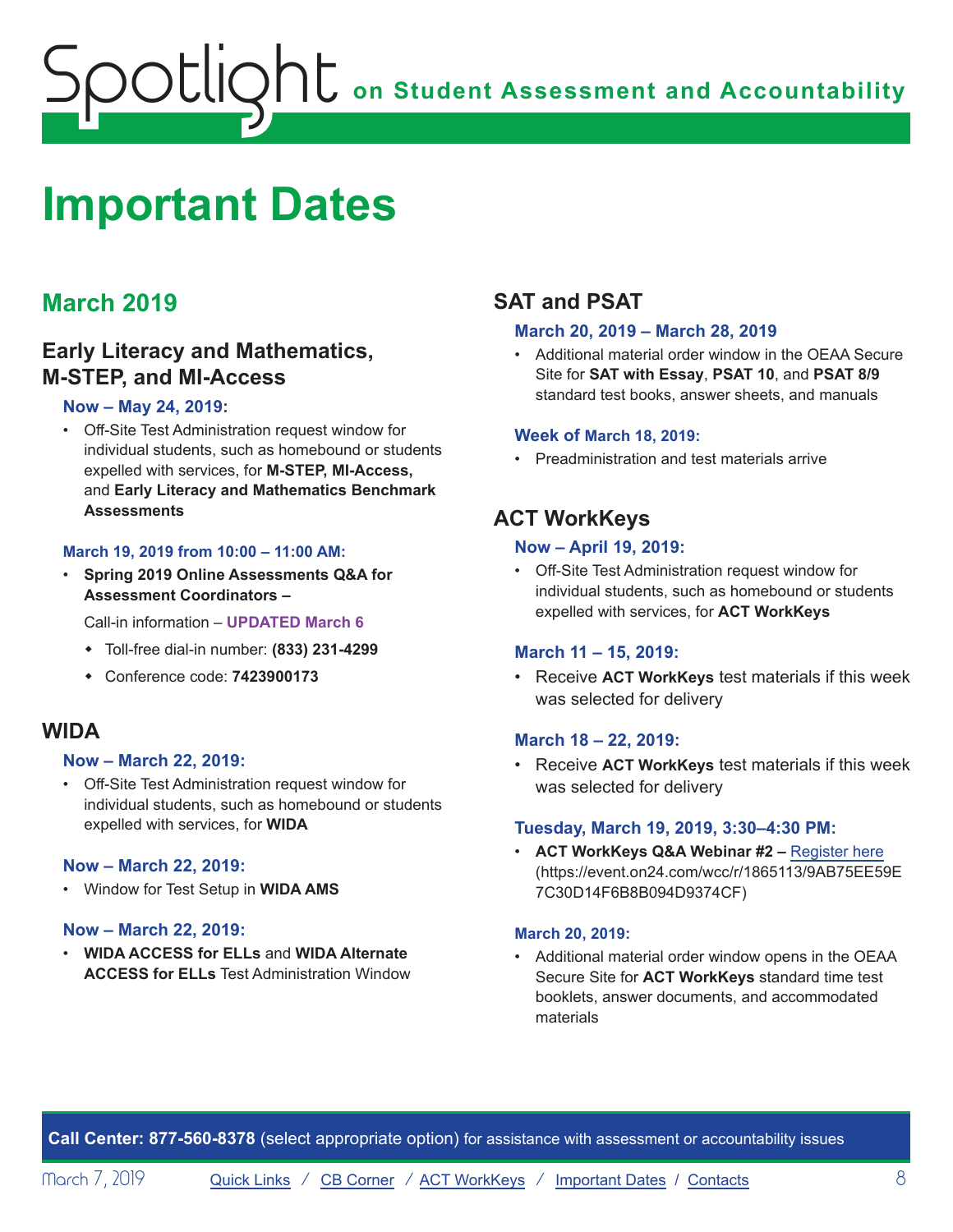# <span id="page-7-1"></span><span id="page-7-0"></span>**Important Dates**

# **March 2019**

# **Early Literacy and Mathematics, M-STEP, and MI-Access**

### **Now – May 24, 2019:**

• Off-Site Test Administration request window for individual students, such as homebound or students expelled with services, for **M-STEP, MI-Access,**  and **Early Literacy and Mathematics Benchmark Assessments**

### **March 19, 2019 from 10:00 – 11:00 AM:**

• **Spring 2019 Online Assessments Q&A for Assessment Coordinators –**

Call-in information – **UPDATED March 6**

- w Toll-free dial-in number: **(833) 231-4299**
- w Conference code: **7423900173**

### **WIDA**

### **Now – March 22, 2019:**

• Off-Site Test Administration request window for individual students, such as homebound or students expelled with services, for **WIDA**

### **Now – March 22, 2019:**

• Window for Test Setup in **WIDA AMS**

### **Now – March 22, 2019:**

• **WIDA ACCESS for ELLs** and **WIDA Alternate ACCESS for ELLs** Test Administration Window

# **SAT and PSAT**

### **March 20, 2019 – March 28, 2019**

• Additional material order window in the OEAA Secure Site for **SAT with Essay**, **PSAT 10**, and **PSAT 8/9** standard test books, answer sheets, and manuals

### **Week of March 18, 2019:**

• Preadministration and test materials arrive

# **ACT WorkKeys**

### **Now – April 19, 2019:**

• Off-Site Test Administration request window for individual students, such as homebound or students expelled with services, for **ACT WorkKeys**

### **March 11 – 15, 2019:**

• Receive **ACT WorkKeys** test materials if this week was selected for delivery

### **March 18 – 22, 2019:**

• Receive **ACT WorkKeys** test materials if this week was selected for delivery

### **Tuesday, March 19, 2019, 3:30–4:30 PM:**

• **ACT WorkKeys Q&A Webinar #2 –** [Register here](https://event.on24.com/wcc/r/1865113/9AB75EE59E7C30D14F6B8B094D9374CF) (https://event.on24.com/wcc/r/1865113/9AB75EE59E 7C30D14F6B8B094D9374CF)

### **March 20, 2019:**

• Additional material order window opens in the OEAA Secure Site for **ACT WorkKeys** standard time test booklets, answer documents, and accommodated materials

**Call Center: 877-560-8378** (select appropriate option) for assistance with assessment or accountability issues